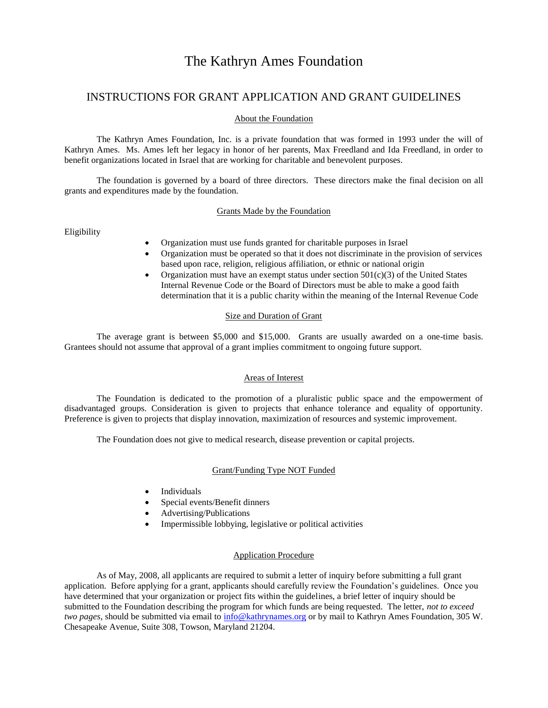# The Kathryn Ames Foundation

## INSTRUCTIONS FOR GRANT APPLICATION AND GRANT GUIDELINES

#### About the Foundation

The Kathryn Ames Foundation, Inc. is a private foundation that was formed in 1993 under the will of Kathryn Ames. Ms. Ames left her legacy in honor of her parents, Max Freedland and Ida Freedland, in order to benefit organizations located in Israel that are working for charitable and benevolent purposes.

The foundation is governed by a board of three directors. These directors make the final decision on all grants and expenditures made by the foundation.

#### Grants Made by the Foundation

Eligibility

- Organization must use funds granted for charitable purposes in Israel
- Organization must be operated so that it does not discriminate in the provision of services based upon race, religion, religious affiliation, or ethnic or national origin
- Organization must have an exempt status under section  $501(c)(3)$  of the United States Internal Revenue Code or the Board of Directors must be able to make a good faith determination that it is a public charity within the meaning of the Internal Revenue Code

#### Size and Duration of Grant

The average grant is between \$5,000 and \$15,000. Grants are usually awarded on a one-time basis. Grantees should not assume that approval of a grant implies commitment to ongoing future support.

## Areas of Interest

The Foundation is dedicated to the promotion of a pluralistic public space and the empowerment of disadvantaged groups. Consideration is given to projects that enhance tolerance and equality of opportunity. Preference is given to projects that display innovation, maximization of resources and systemic improvement.

The Foundation does not give to medical research, disease prevention or capital projects.

#### Grant/Funding Type NOT Funded

- **Individuals**
- Special events/Benefit dinners
- Advertising/Publications
- Impermissible lobbying, legislative or political activities

## Application Procedure

As of May, 2008, all applicants are required to submit a letter of inquiry before submitting a full grant application. Before applying for a grant, applicants should carefully review the Foundation's guidelines. Once you have determined that your organization or project fits within the guidelines, a brief letter of inquiry should be submitted to the Foundation describing the program for which funds are being requested. The letter, *not to exceed two pages*, should be submitted via email to [info@kathrynames.org](mailto:info@kathrynames.org) or by mail to Kathryn Ames Foundation, 305 W. Chesapeake Avenue, Suite 308, Towson, Maryland 21204.